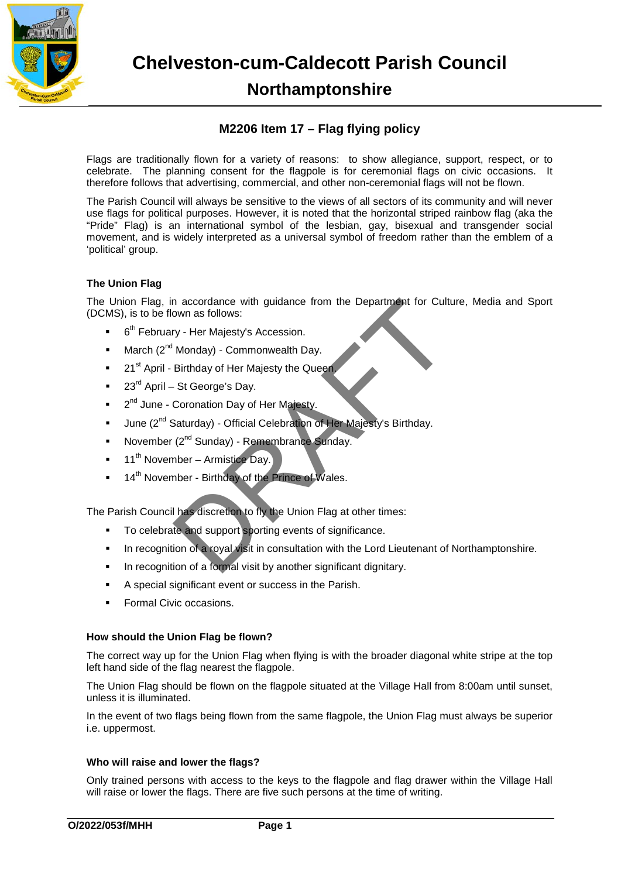

**Chelveston-cum-Caldecott Parish Council Northamptonshire**

# **M2206 Item 17 – Flag flying policy**

Flags are traditionally flown for a variety of reasons: to show allegiance, support, respect, or to celebrate. The planning consent for the flagpole is for ceremonial flags on civic occasions. It therefore follows that advertising, commercial, and other non-ceremonial flags will not be flown.

The Parish Council will always be sensitive to the views of all sectors of its community and will never use flags for political purposes. However, it is noted that the horizontal striped rainbow flag (aka the "Pride" Flag) is an international symbol of the lesbian, gay, bisexual and transgender social movement, and is widely interpreted as a universal symbol of freedom rather than the emblem of a 'political' group.

## **The Union Flag**

The Union Flag, in accordance with guidance from the Department for Culture, Media and Sport (DCMS), is to be flown as follows: n accordance with guidance from the Department for Cult<br>
own as follows:<br>
Ty - Her Majesty's Accession.<br>
Monday) - Commonwealth Day.<br>
Birthday of Her Majesty the Queen<br>
St George's Day.<br>
Coronation Day of Her Majesty.<br>
Sat

- $\bullet$  6<sup>th</sup> February Her Majesty's Accession.
- March  $(2^{nd}$  Monday) Commonwealth Day.
- 21<sup>st</sup> April Birthday of Her Majesty the Queen.
- 23rd April St George's Day.
- 2<sup>nd</sup> June Coronation Day of Her Majesty.
- June (2<sup>nd</sup> Saturday) Official Celebration of Her Majesty's Birthday.
- November (2<sup>nd</sup> Sunday) Remembrance Sunday.
- 11<sup>th</sup> November Armistice Day.
- 14<sup>th</sup> November Birthday of the Prince of Wales.

The Parish Council has discretion to fly the Union Flag at other times:

- To celebrate and support sporting events of significance.
- In recognition of a royal visit in consultation with the Lord Lieutenant of Northamptonshire.
- In recognition of a formal visit by another significant dignitary.
- A special significant event or success in the Parish.
- Formal Civic occasions.

### **How should the Union Flag be flown?**

The correct way up for the Union Flag when flying is with the broader diagonal white stripe at the top left hand side of the flag nearest the flagpole.

The Union Flag should be flown on the flagpole situated at the Village Hall from 8:00am until sunset, unless it is illuminated.

In the event of two flags being flown from the same flagpole, the Union Flag must always be superior i.e. uppermost.

## **Who will raise and lower the flags?**

Only trained persons with access to the keys to the flagpole and flag drawer within the Village Hall will raise or lower the flags. There are five such persons at the time of writing.